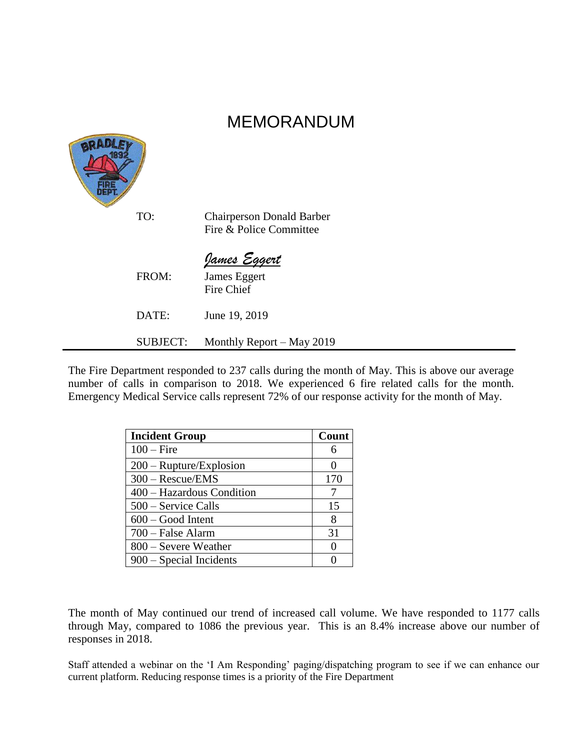# MEMORANDUM



The Fire Department responded to 237 calls during the month of May. This is above our average number of calls in comparison to 2018. We experienced 6 fire related calls for the month. Emergency Medical Service calls represent 72% of our response activity for the month of May.

| <b>Incident Group</b>            | Count    |
|----------------------------------|----------|
| $100 -$ Fire                     | 6        |
| $200 - \text{Rupture/Explosion}$ |          |
| $300 - Rescue/EMS$               | 170      |
| 400 – Hazardous Condition        |          |
| 500 – Service Calls              | 15       |
| $600 - Good$ Intent              | 8        |
| 700 – False Alarm                | 31       |
| 800 – Severe Weather             | $\Omega$ |
| 900 – Special Incidents          |          |

The month of May continued our trend of increased call volume. We have responded to 1177 calls through May, compared to 1086 the previous year. This is an 8.4% increase above our number of responses in 2018.

Staff attended a webinar on the 'I Am Responding' paging/dispatching program to see if we can enhance our current platform. Reducing response times is a priority of the Fire Department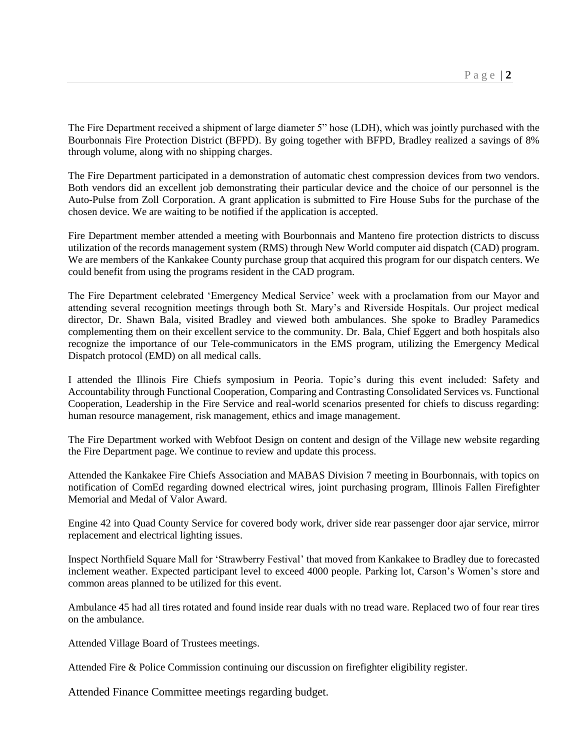The Fire Department received a shipment of large diameter 5" hose (LDH), which was jointly purchased with the Bourbonnais Fire Protection District (BFPD). By going together with BFPD, Bradley realized a savings of 8% through volume, along with no shipping charges.

The Fire Department participated in a demonstration of automatic chest compression devices from two vendors. Both vendors did an excellent job demonstrating their particular device and the choice of our personnel is the Auto-Pulse from Zoll Corporation. A grant application is submitted to Fire House Subs for the purchase of the chosen device. We are waiting to be notified if the application is accepted.

Fire Department member attended a meeting with Bourbonnais and Manteno fire protection districts to discuss utilization of the records management system (RMS) through New World computer aid dispatch (CAD) program. We are members of the Kankakee County purchase group that acquired this program for our dispatch centers. We could benefit from using the programs resident in the CAD program.

The Fire Department celebrated 'Emergency Medical Service' week with a proclamation from our Mayor and attending several recognition meetings through both St. Mary's and Riverside Hospitals. Our project medical director, Dr. Shawn Bala, visited Bradley and viewed both ambulances. She spoke to Bradley Paramedics complementing them on their excellent service to the community. Dr. Bala, Chief Eggert and both hospitals also recognize the importance of our Tele-communicators in the EMS program, utilizing the Emergency Medical Dispatch protocol (EMD) on all medical calls.

I attended the Illinois Fire Chiefs symposium in Peoria. Topic's during this event included: Safety and Accountability through Functional Cooperation, Comparing and Contrasting Consolidated Services vs. Functional Cooperation, Leadership in the Fire Service and real-world scenarios presented for chiefs to discuss regarding: human resource management, risk management, ethics and image management.

The Fire Department worked with Webfoot Design on content and design of the Village new website regarding the Fire Department page. We continue to review and update this process.

Attended the Kankakee Fire Chiefs Association and MABAS Division 7 meeting in Bourbonnais, with topics on notification of ComEd regarding downed electrical wires, joint purchasing program, Illinois Fallen Firefighter Memorial and Medal of Valor Award.

Engine 42 into Quad County Service for covered body work, driver side rear passenger door ajar service, mirror replacement and electrical lighting issues.

Inspect Northfield Square Mall for 'Strawberry Festival' that moved from Kankakee to Bradley due to forecasted inclement weather. Expected participant level to exceed 4000 people. Parking lot, Carson's Women's store and common areas planned to be utilized for this event.

Ambulance 45 had all tires rotated and found inside rear duals with no tread ware. Replaced two of four rear tires on the ambulance.

Attended Village Board of Trustees meetings.

Attended Fire & Police Commission continuing our discussion on firefighter eligibility register.

Attended Finance Committee meetings regarding budget.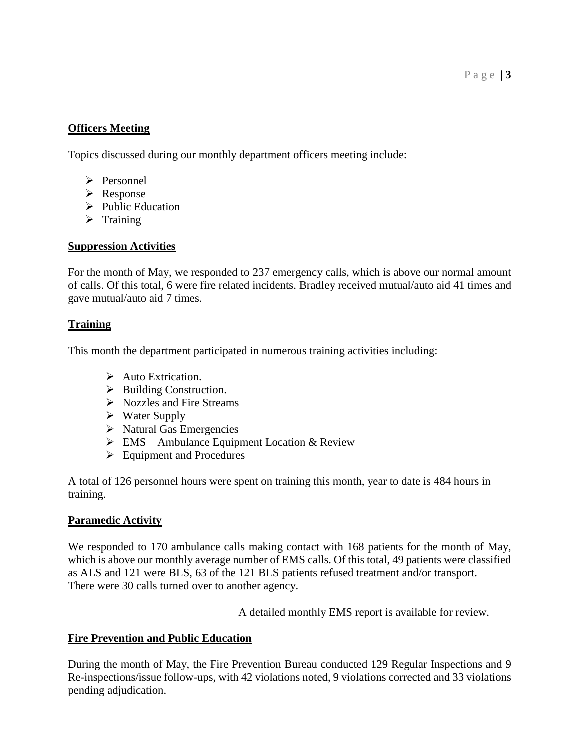## **Officers Meeting**

Topics discussed during our monthly department officers meeting include:

- ➢ Personnel
- ➢ Response
- ➢ Public Education
- ➢ Training

#### **Suppression Activities**

For the month of May, we responded to 237 emergency calls, which is above our normal amount of calls. Of this total, 6 were fire related incidents. Bradley received mutual/auto aid 41 times and gave mutual/auto aid 7 times.

#### **Training**

This month the department participated in numerous training activities including:

- ➢ Auto Extrication.
- $\triangleright$  Building Construction.
- ➢ Nozzles and Fire Streams
- ➢ Water Supply
- $\triangleright$  Natural Gas Emergencies
- $\triangleright$  EMS Ambulance Equipment Location & Review
- ➢ Equipment and Procedures

A total of 126 personnel hours were spent on training this month, year to date is 484 hours in training.

## **Paramedic Activity**

We responded to 170 ambulance calls making contact with 168 patients for the month of May, which is above our monthly average number of EMS calls. Of this total, 49 patients were classified as ALS and 121 were BLS, 63 of the 121 BLS patients refused treatment and/or transport. There were 30 calls turned over to another agency.

A detailed monthly EMS report is available for review.

## **Fire Prevention and Public Education**

During the month of May, the Fire Prevention Bureau conducted 129 Regular Inspections and 9 Re-inspections/issue follow-ups, with 42 violations noted, 9 violations corrected and 33 violations pending adjudication.